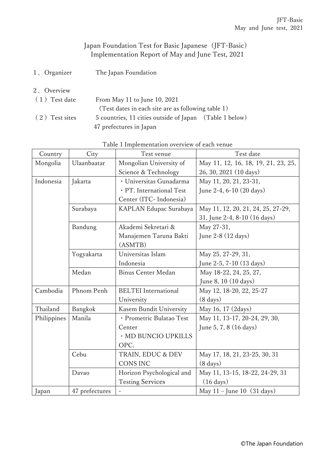## Japan Foundation Test for Basic Japanese (JFT-Basic) Implementation Report of May and June Test, 2021

- 1.Organizer The Japan Foundation
- 2.Overview

| (1) Test date  | From May 11 to June 10, 2021                            |  |
|----------------|---------------------------------------------------------|--|
|                | (Test dates in each site are as following table 1)      |  |
| (2) Test sites | 5 countries, 11 cities outside of Japan (Table 1 below) |  |
|                | 47 prefectures in Japan                                 |  |

## Table 1 Implementation overview of each venue

| Country     | City           | Test venue                  | Test date                              |
|-------------|----------------|-----------------------------|----------------------------------------|
| Mongolia    | Ulaanbaatar    | Mongolian University of     | May 11, 12, 16, 18, 19, 21, 23, 25,    |
|             |                | Science & Technology        | 26, 30, 2021 (10 days)                 |
| Indonesia   | Jakarta        | · Universitas Gunadarma     | May 11, 20, 21, 23-31,                 |
|             |                | · PT. International Test    | June 2-4, 6-10 (20 days)               |
|             |                | Center (ITC-Indonesia)      |                                        |
|             | Surabaya       | KAPLAN Edupac Surabaya      | May 11, 12, 20, 21, 24, 25, 27-29,     |
|             |                |                             | 31, June 2-4, 8-10 (16 days)           |
|             | Bandung        | Akademi Sekretari &         | May 27-31,                             |
|             |                | Manajemen Taruna Bakti      | June 2-8 (12 days)                     |
|             |                | (ASMTB)                     |                                        |
|             | Yogyakarta     | Universitas Islam           | May 25, 27-29, 31,                     |
|             |                | Indonesia                   | June 2-5, 7-10 (13 days)               |
|             | Medan          | <b>Binus Center Medan</b>   | May 18-22, 24, 25, 27,                 |
|             |                |                             | June 8, 10 (10 days)                   |
| Cambodia    | Phnom Penh     | <b>BELTEI</b> International | May 12, 18-20, 22, 25-27               |
|             |                | University                  | $(8 \text{ days})$                     |
| Thailand    | Bangkok        | Kasem Bundit University     | May 16, 17 (2days)                     |
| Philippines | Manila         | · Prometric Bulatao Test    | May 11, 13-17, 20-24, 29, 30,          |
|             |                | Center                      | June 5, 7, 8 (16 days)                 |
|             |                | · MD BUNCIO UPKILLS         |                                        |
|             |                | OPC.                        |                                        |
|             | Cebu           | TRAIN, EDUC & DEV           | May 17, 18, 21, 23-25, 30, 31          |
|             |                | <b>CONS INC</b>             | $(8 \text{ days})$                     |
|             | Davao          | Horizon Psychological and   | May 11, 13-15, 18-22, 24-29, 31        |
|             |                | <b>Testing Services</b>     | $(16 \text{ days})$                    |
| Japan       | 47 prefectures | $\blacksquare$              | May $11$ – June 10 $(31 \text{ days})$ |